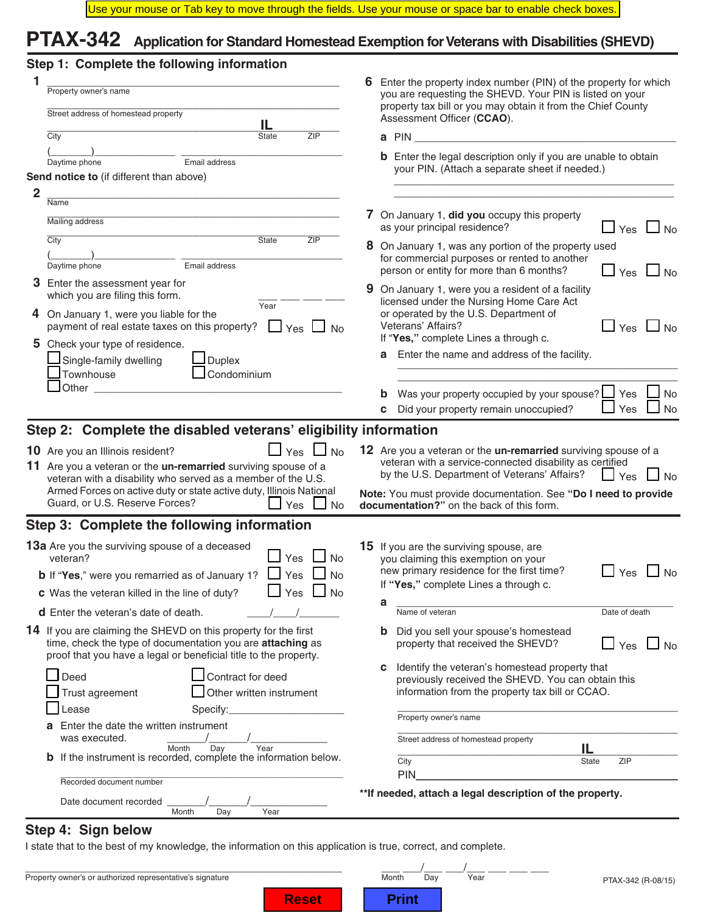## **PTAX-342 Application for Standard Homestead Exemption for Veterans with Disabilities (SHEVD)**

|  |  |  |  | Step 1: Complete the following information |
|--|--|--|--|--------------------------------------------|
|--|--|--|--|--------------------------------------------|

| 1              | Property owner's name                                                                                                                                                                                                                                                                                                                                     | Enter the property index number (PIN) of the property for which<br>6.<br>you are requesting the SHEVD. Your PIN is listed on your |                                                                                                                                                                                                                               |  |  |
|----------------|-----------------------------------------------------------------------------------------------------------------------------------------------------------------------------------------------------------------------------------------------------------------------------------------------------------------------------------------------------------|-----------------------------------------------------------------------------------------------------------------------------------|-------------------------------------------------------------------------------------------------------------------------------------------------------------------------------------------------------------------------------|--|--|
|                | Street address of homestead property                                                                                                                                                                                                                                                                                                                      |                                                                                                                                   | property tax bill or you may obtain it from the Chief County<br>Assessment Officer (CCAO).                                                                                                                                    |  |  |
|                | IL<br>City<br>ZIP<br><b>State</b>                                                                                                                                                                                                                                                                                                                         |                                                                                                                                   | a PIN and the contract of the contract of the contract of the contract of the contract of the contract of the contract of the contract of the contract of the contract of the contract of the contract of the contract of the |  |  |
|                |                                                                                                                                                                                                                                                                                                                                                           |                                                                                                                                   | <b>b</b> Enter the legal description only if you are unable to obtain                                                                                                                                                         |  |  |
|                | Email address<br>Daytime phone                                                                                                                                                                                                                                                                                                                            |                                                                                                                                   | your PIN. (Attach a separate sheet if needed.)                                                                                                                                                                                |  |  |
|                | Send notice to (if different than above)                                                                                                                                                                                                                                                                                                                  |                                                                                                                                   |                                                                                                                                                                                                                               |  |  |
| $\overline{2}$ | Name                                                                                                                                                                                                                                                                                                                                                      |                                                                                                                                   |                                                                                                                                                                                                                               |  |  |
|                | Mailing address                                                                                                                                                                                                                                                                                                                                           |                                                                                                                                   | 7 On January 1, did you occupy this property<br>as your principal residence?<br>J No<br>Yes                                                                                                                                   |  |  |
|                | $\overline{C}$ ity<br>State<br>ZIP                                                                                                                                                                                                                                                                                                                        |                                                                                                                                   | 8 On January 1, was any portion of the property used                                                                                                                                                                          |  |  |
|                | Email address<br>Daytime phone                                                                                                                                                                                                                                                                                                                            |                                                                                                                                   | for commercial purposes or rented to another<br>person or entity for more than 6 months?<br>$\Box$ Yes $\Box$ No                                                                                                              |  |  |
|                | 3 Enter the assessment year for<br>which you are filing this form.                                                                                                                                                                                                                                                                                        | 9                                                                                                                                 | On January 1, were you a resident of a facility<br>licensed under the Nursing Home Care Act                                                                                                                                   |  |  |
| 4              | Year<br>On January 1, were you liable for the<br>payment of real estate taxes on this property? $\Box$ Yes $\Box$ No                                                                                                                                                                                                                                      |                                                                                                                                   | or operated by the U.S. Department of<br>Veterans' Affairs?<br>$\Box$ Yes $\Box$ No                                                                                                                                           |  |  |
|                | 5 Check your type of residence.<br>$\sf J$ Single-family dwelling<br>$\Box$ Duplex<br>Townhouse<br>Condominium                                                                                                                                                                                                                                            |                                                                                                                                   | If "Yes," complete Lines a through c.<br>Enter the name and address of the facility.                                                                                                                                          |  |  |
|                | Other _                                                                                                                                                                                                                                                                                                                                                   |                                                                                                                                   |                                                                                                                                                                                                                               |  |  |
|                |                                                                                                                                                                                                                                                                                                                                                           |                                                                                                                                   | Was your property occupied by your spouse? $\Box$ Yes<br>No                                                                                                                                                                   |  |  |
|                |                                                                                                                                                                                                                                                                                                                                                           |                                                                                                                                   | $\Box$ Yes<br>c Did your property remain unoccupied?<br>$\Box$ No                                                                                                                                                             |  |  |
|                | Step 2: Complete the disabled veterans' eligibility information                                                                                                                                                                                                                                                                                           |                                                                                                                                   |                                                                                                                                                                                                                               |  |  |
|                | <b>10</b> Are you an Illinois resident?<br>$\Box$ Yes<br>⊿ No<br>11 Are you a veteran or the <b>un-remarried</b> surviving spouse of a<br>veteran with a disability who served as a member of the U.S.<br>Armed Forces on active duty or state active duty, Illinois National<br>Guard, or U.S. Reserve Forces?<br>$\Box$ Yes $\Box$<br>$\blacksquare$ No |                                                                                                                                   | 12 Are you a veteran or the <b>un-remarried</b> surviving spouse of a<br>veteran with a service-connected disability as certified<br>by the U.S. Department of Veterans' Affairs?<br>$\Box$ Yes<br>J No                       |  |  |
|                |                                                                                                                                                                                                                                                                                                                                                           |                                                                                                                                   | Note: You must provide documentation. See "Do I need to provide<br>documentation?" on the back of this form.                                                                                                                  |  |  |
|                | Step 3: Complete the following information                                                                                                                                                                                                                                                                                                                |                                                                                                                                   |                                                                                                                                                                                                                               |  |  |
|                | 13a Are you the surviving spouse of a deceased<br>Yes<br>No<br>veteran?                                                                                                                                                                                                                                                                                   |                                                                                                                                   | <b>15</b> If you are the surviving spouse, are<br>you claiming this exemption on your                                                                                                                                         |  |  |
|                | <b>b</b> If "Yes," were you remarried as of January 1? $\Box$ Yes<br>$\Box$ No                                                                                                                                                                                                                                                                            |                                                                                                                                   | new primary residence for the first time?<br>$\Box$ Yes<br>J No                                                                                                                                                               |  |  |
|                | <b>c</b> Was the veteran killed in the line of duty?<br>Yes $\Box$ No                                                                                                                                                                                                                                                                                     |                                                                                                                                   | If "Yes," complete Lines a through c.                                                                                                                                                                                         |  |  |
|                | <b>d</b> Enter the veteran's date of death.                                                                                                                                                                                                                                                                                                               |                                                                                                                                   | a<br>Name of veteran<br>Date of death                                                                                                                                                                                         |  |  |
|                |                                                                                                                                                                                                                                                                                                                                                           |                                                                                                                                   |                                                                                                                                                                                                                               |  |  |
|                | 14 If you are claiming the SHEVD on this property for the first<br>time, check the type of documentation you are attaching as<br>proof that you have a legal or beneficial title to the property.                                                                                                                                                         |                                                                                                                                   | Did you sell your spouse's homestead<br>$\mathbf{p}$<br>property that received the SHEVD?<br>$\Box$ Yes<br>$\Box$ No                                                                                                          |  |  |
|                | Contract for deed<br>Deed<br>Other written instrument<br>Trust agreement                                                                                                                                                                                                                                                                                  |                                                                                                                                   | Identify the veteran's homestead property that<br>с<br>previously received the SHEVD. You can obtain this<br>information from the property tax bill or CCAO.                                                                  |  |  |
|                | _ease<br>Specify:                                                                                                                                                                                                                                                                                                                                         |                                                                                                                                   | Property owner's name                                                                                                                                                                                                         |  |  |
|                | Enter the date the written instrument                                                                                                                                                                                                                                                                                                                     |                                                                                                                                   |                                                                                                                                                                                                                               |  |  |
|                | was executed.<br>Month<br>Day<br>Year                                                                                                                                                                                                                                                                                                                     |                                                                                                                                   | Street address of homestead property<br>IL.                                                                                                                                                                                   |  |  |
|                | <b>b</b> If the instrument is recorded, complete the information below.                                                                                                                                                                                                                                                                                   |                                                                                                                                   | City<br><b>ZIP</b><br>State<br>PIN                                                                                                                                                                                            |  |  |
|                | Recorded document number                                                                                                                                                                                                                                                                                                                                  |                                                                                                                                   |                                                                                                                                                                                                                               |  |  |
|                | Date document recorded<br>Month<br>Day<br>Year                                                                                                                                                                                                                                                                                                            |                                                                                                                                   | ** If needed, attach a legal description of the property.                                                                                                                                                                     |  |  |

### **Step 4: Sign below**

I state that to the best of my knowledge, the information on this application is true, correct, and complete.